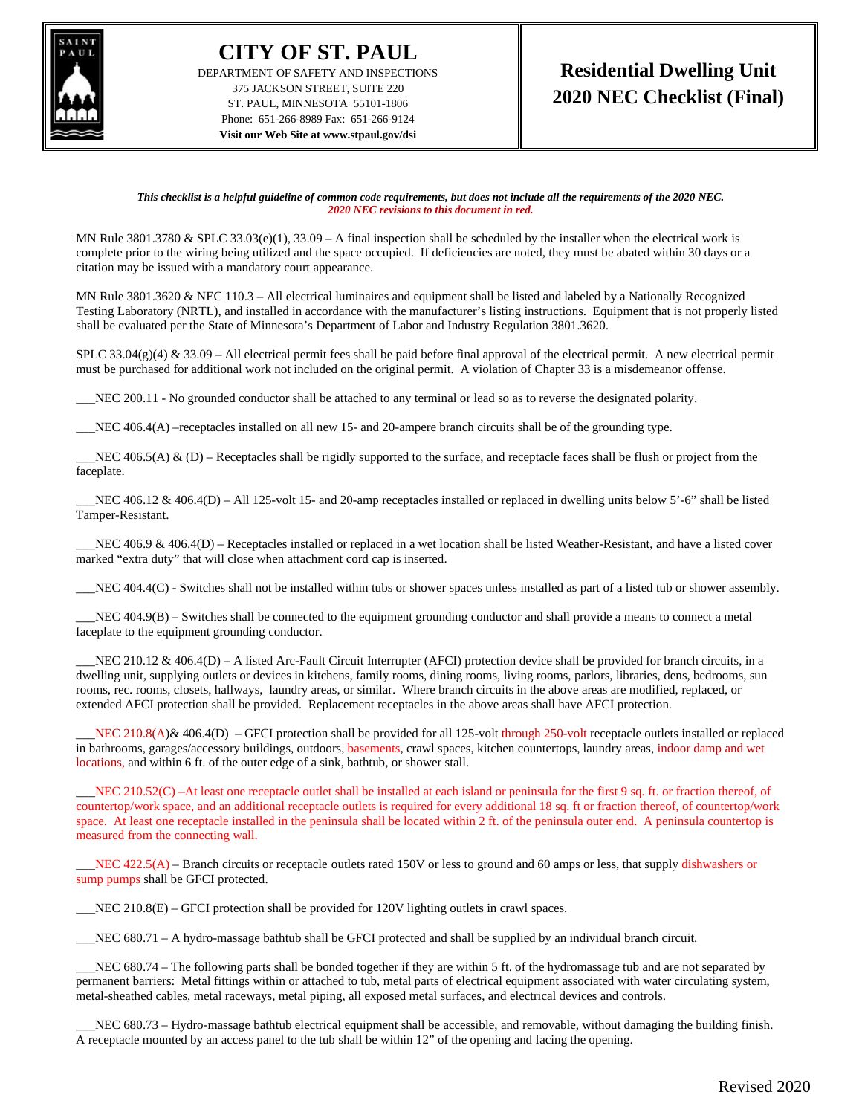

**CITY OF ST. PAUL** DEPARTMENT OF SAFETY AND INSPECTIONS 375 JACKSON STREET, SUITE 220 ST. PAUL, MINNESOTA 55101-1806 Phone: 651-266-8989 Fax: 651-266-9124 **Visit our Web Site at www.stpaul.gov/dsi**

*This checklist is a helpful guideline of common code requirements, but does not include all the requirements of the 2020 NEC. 2020 NEC revisions to this document in red.*

MN Rule 3801.3780  $&$  SPLC 33.03(e)(1), 33.09 – A final inspection shall be scheduled by the installer when the electrical work is complete prior to the wiring being utilized and the space occupied. If deficiencies are noted, they must be abated within 30 days or a citation may be issued with a mandatory court appearance.

MN Rule 3801.3620 & NEC 110.3 – All electrical luminaires and equipment shall be listed and labeled by a Nationally Recognized Testing Laboratory (NRTL), and installed in accordance with the manufacturer's listing instructions. Equipment that is not properly listed shall be evaluated per the State of Minnesota's Department of Labor and Industry Regulation 3801.3620.

SPLC 33.04(g)(4) & 33.09 – All electrical permit fees shall be paid before final approval of the electrical permit. A new electrical permit must be purchased for additional work not included on the original permit. A violation of Chapter 33 is a misdemeanor offense.

NEC 200.11 - No grounded conductor shall be attached to any terminal or lead so as to reverse the designated polarity.

NEC 406.4(A) –receptacles installed on all new 15- and 20-ampere branch circuits shall be of the grounding type.

 $NEC$  406.5(A)  $\&$  (D) – Receptacles shall be rigidly supported to the surface, and receptacle faces shall be flush or project from the faceplate.

 $\_NEC$  406.12 & 406.4(D) – All 125-volt 15- and 20-amp receptacles installed or replaced in dwelling units below 5'-6" shall be listed Tamper-Resistant.

NEC 406.9 & 406.4(D) – Receptacles installed or replaced in a wet location shall be listed Weather-Resistant, and have a listed cover marked "extra duty" that will close when attachment cord cap is inserted.

\_\_\_NEC 404.4(C) - Switches shall not be installed within tubs or shower spaces unless installed as part of a listed tub or shower assembly.

 $NEC$  404.9(B) – Switches shall be connected to the equipment grounding conductor and shall provide a means to connect a metal faceplate to the equipment grounding conductor.

NEC 210.12  $\&$  406.4(D) – A listed Arc-Fault Circuit Interrupter (AFCI) protection device shall be provided for branch circuits, in a dwelling unit, supplying outlets or devices in kitchens, family rooms, dining rooms, living rooms, parlors, libraries, dens, bedrooms, sun rooms, rec. rooms, closets, hallways, laundry areas, or similar. Where branch circuits in the above areas are modified, replaced, or extended AFCI protection shall be provided. Replacement receptacles in the above areas shall have AFCI protection.

NEC 210.8(A)& 406.4(D) – GFCI protection shall be provided for all 125-volt through 250-volt receptacle outlets installed or replaced in bathrooms, garages/accessory buildings, outdoors, basements, crawl spaces, kitchen countertops, laundry areas, indoor damp and wet locations, and within 6 ft. of the outer edge of a sink, bathtub, or shower stall.

NEC 210.52(C) –At least one receptacle outlet shall be installed at each island or peninsula for the first 9 sq. ft. or fraction thereof, of countertop/work space, and an additional receptacle outlets is required for every additional 18 sq. ft or fraction thereof, of countertop/work space. At least one receptacle installed in the peninsula shall be located within 2 ft. of the peninsula outer end. A peninsula countertop is measured from the connecting wall.

 $\_NEC$  422.5(A) – Branch circuits or receptacle outlets rated 150V or less to ground and 60 amps or less, that supply dishwashers or sump pumps shall be GFCI protected.

 $NEC$  210.8(E) – GFCI protection shall be provided for 120V lighting outlets in crawl spaces.

\_\_\_NEC 680.71 – A hydro-massage bathtub shall be GFCI protected and shall be supplied by an individual branch circuit.

\_\_\_NEC 680.74 – The following parts shall be bonded together if they are within 5 ft. of the hydromassage tub and are not separated by permanent barriers: Metal fittings within or attached to tub, metal parts of electrical equipment associated with water circulating system, metal-sheathed cables, metal raceways, metal piping, all exposed metal surfaces, and electrical devices and controls.

NEC 680.73 – Hydro-massage bathtub electrical equipment shall be accessible, and removable, without damaging the building finish. A receptacle mounted by an access panel to the tub shall be within 12" of the opening and facing the opening.